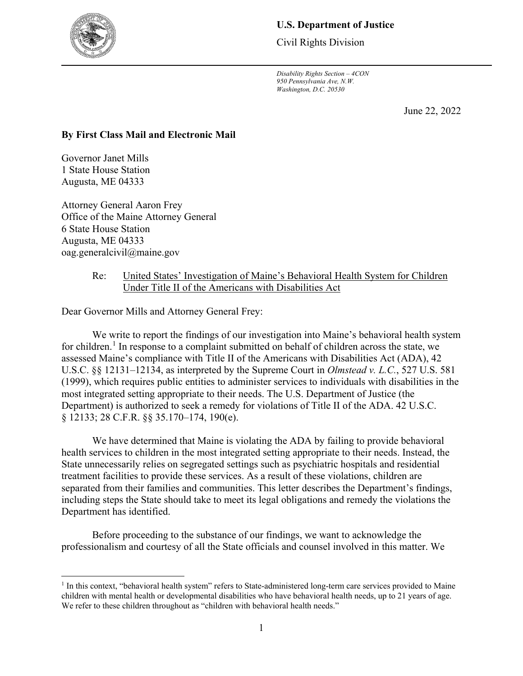

# **U.S. Department of Justice**

Civil Rights Division

*Disability Rights Section – 4CON 950 Pennsylvania Ave, N.W. Washington, D.C. 20530*

June 22, 2022

## **By First Class Mail and Electronic Mail**

Governor Janet Mills 1 State House Station Augusta, ME 04333

 $\overline{a}$ 

Attorney General Aaron Frey Office of the Maine Attorney General 6 State House Station Augusta, ME 04333 oag.generalcivil@maine.gov

### Re: United States' Investigation of Maine's Behavioral Health System for Children Under Title II of the Americans with Disabilities Act

Dear Governor Mills and Attorney General Frey:

We write to report the findings of our investigation into Maine's behavioral health system for children.<sup>[1](#page-0-0)</sup> In response to a complaint submitted on behalf of children across the state, we assessed Maine's compliance with Title II of the Americans with Disabilities Act (ADA), 42 U.S.C. §§ 12131–12134, as interpreted by the Supreme Court in *Olmstead v. L.C.*, 527 U.S. 581 (1999), which requires public entities to administer services to individuals with disabilities in the most integrated setting appropriate to their needs. The U.S. Department of Justice (the Department) is authorized to seek a remedy for violations of Title II of the ADA. 42 U.S.C. § 12133; 28 C.F.R. §§ 35.170–174, 190(e).

We have determined that Maine is violating the ADA by failing to provide behavioral health services to children in the most integrated setting appropriate to their needs. Instead, the State unnecessarily relies on segregated settings such as psychiatric hospitals and residential treatment facilities to provide these services. As a result of these violations, children are separated from their families and communities. This letter describes the Department's findings, including steps the State should take to meet its legal obligations and remedy the violations the Department has identified.

Before proceeding to the substance of our findings, we want to acknowledge the professionalism and courtesy of all the State officials and counsel involved in this matter. We

<span id="page-0-0"></span><sup>&</sup>lt;sup>1</sup> In this context, "behavioral health system" refers to State-administered long-term care services provided to Maine children with mental health or developmental disabilities who have behavioral health needs, up to 21 years of age. We refer to these children throughout as "children with behavioral health needs."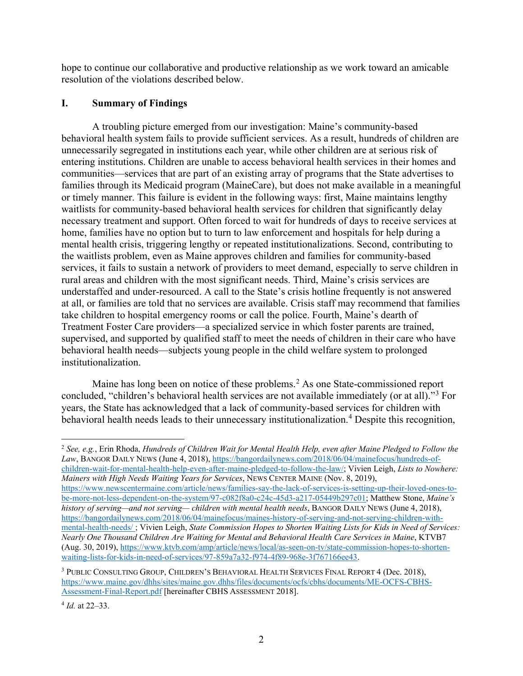hope to continue our collaborative and productive relationship as we work toward an amicable resolution of the violations described below.

# **I. Summary of Findings**

A troubling picture emerged from our investigation: Maine's community-based behavioral health system fails to provide sufficient services. As a result, hundreds of children are unnecessarily segregated in institutions each year, while other children are at serious risk of entering institutions. Children are unable to access behavioral health services in their homes and communities—services that are part of an existing array of programs that the State advertises to families through its Medicaid program (MaineCare), but does not make available in a meaningful or timely manner. This failure is evident in the following ways: first, Maine maintains lengthy waitlists for community-based behavioral health services for children that significantly delay necessary treatment and support. Often forced to wait for hundreds of days to receive services at home, families have no option but to turn to law enforcement and hospitals for help during a mental health crisis, triggering lengthy or repeated institutionalizations. Second, contributing to the waitlists problem, even as Maine approves children and families for community-based services, it fails to sustain a network of providers to meet demand, especially to serve children in rural areas and children with the most significant needs. Third, Maine's crisis services are understaffed and under-resourced. A call to the State's crisis hotline frequently is not answered at all, or families are told that no services are available. Crisis staff may recommend that families take children to hospital emergency rooms or call the police. Fourth, Maine's dearth of Treatment Foster Care providers—a specialized service in which foster parents are trained, supervised, and supported by qualified staff to meet the needs of children in their care who have behavioral health needs—subjects young people in the child welfare system to prolonged institutionalization.

Maine has long been on notice of these problems.<sup>[2](#page-1-0)</sup> As one State-commissioned report concluded, "children's behavioral health services are not available immediately (or at all)."<sup>[3](#page-1-1)</sup> For years, the State has acknowledged that a lack of community-based services for children with behavioral health needs leads to their unnecessary institutionalization.<sup>[4](#page-1-2)</sup> Despite this recognition,

<span id="page-1-0"></span> $\overline{a}$ <sup>2</sup> *See, e.g.*, Erin Rhoda, *Hundreds of Children Wait for Mental Health Help, even after Maine Pledged to Follow the Law*, BANGOR DAILY NEWS (June 4, 2018), [https://bangordailynews.com/2018/06/04/mainefocus/hundreds-of](https://bangordailynews.com/2018/06/04/mainefocus/hundreds-of-children-wait-for-mental-health-help-even-after-maine-pledged-to-follow-the-law/)[children-wait-for-mental-health-help-even-after-maine-pledged-to-follow-the-law/;](https://bangordailynews.com/2018/06/04/mainefocus/hundreds-of-children-wait-for-mental-health-help-even-after-maine-pledged-to-follow-the-law/) Vivien Leigh, *Lists to Nowhere: Mainers with High Needs Waiting Years for Services*, NEWS CENTER MAINE (Nov. 8, 2019), [https://www.newscentermaine.com/article/news/families-say-the-lack-of-services-is-setting-up-their-loved-ones-to](https://www.newscentermaine.com/article/news/families-say-the-lack-of-services-is-setting-up-their-loved-ones-to-be-more-not-less-dependent-on-the-system/97-c082f8a0-c24c-45d3-a217-05449b297c01)[be-more-not-less-dependent-on-the-system/97-c082f8a0-c24c-45d3-a217-05449b297c01;](https://www.newscentermaine.com/article/news/families-say-the-lack-of-services-is-setting-up-their-loved-ones-to-be-more-not-less-dependent-on-the-system/97-c082f8a0-c24c-45d3-a217-05449b297c01) Matthew Stone, *Maine's history of serving—and not serving— children with mental health needs*, BANGOR DAILY NEWS (June 4, 2018), [https://bangordailynews.com/2018/06/04/mainefocus/maines-history-of-serving-and-not-serving-children-with](https://bangordailynews.com/2018/06/04/mainefocus/maines-history-of-serving-and-not-serving-children-with-mental-health-needs/)[mental-health-needs/](https://bangordailynews.com/2018/06/04/mainefocus/maines-history-of-serving-and-not-serving-children-with-mental-health-needs/) ; Vivien Leigh, *State Commission Hopes to Shorten Waiting Lists for Kids in Need of Services: Nearly One Thousand Children Are Waiting for Mental and Behavioral Health Care Services in Maine*, KTVB7 (Aug. 30, 2019), [https://www.ktvb.com/amp/article/news/local/as-seen-on-tv/state-commission-hopes-to-shorten](https://www.ktvb.com/amp/article/news/local/as-seen-on-tv/state-commission-hopes-to-shorten-waiting-lists-for-kids-in-need-of-services/97-859a7a32-f974-4f89-968e-3f767166ee43)[waiting-lists-for-kids-in-need-of-services/97-859a7a32-f974-4f89-968e-3f767166ee43.](https://www.ktvb.com/amp/article/news/local/as-seen-on-tv/state-commission-hopes-to-shorten-waiting-lists-for-kids-in-need-of-services/97-859a7a32-f974-4f89-968e-3f767166ee43)

<span id="page-1-1"></span> $^3$  Public Consulting Group, Children's Behavioral Health Services Final Report 4 (Dec. 2018), [https://www.maine.gov/dhhs/sites/maine.gov.dhhs/files/documents/ocfs/cbhs/documents/ME-OCFS-CBHS-](https://www.maine.gov/dhhs/sites/maine.gov.dhhs/files/documents/ocfs/cbhs/documents/ME-OCFS-CBHS-Assessment-Final-Report.pdf)[Assessment-Final-Report.pdf](https://www.maine.gov/dhhs/sites/maine.gov.dhhs/files/documents/ocfs/cbhs/documents/ME-OCFS-CBHS-Assessment-Final-Report.pdf) [hereinafter CBHS ASSESSMENT 2018].

<span id="page-1-2"></span><sup>4</sup> *Id.* at 22–33.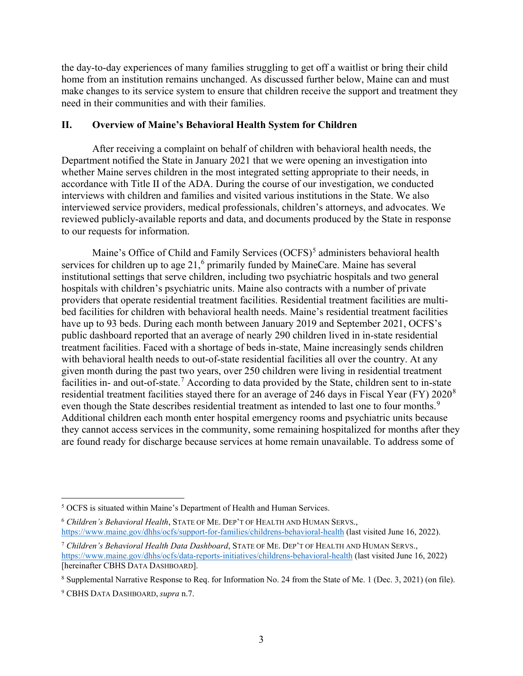the day-to-day experiences of many families struggling to get off a waitlist or bring their child home from an institution remains unchanged. As discussed further below, Maine can and must make changes to its service system to ensure that children receive the support and treatment they need in their communities and with their families.

### **II. Overview of Maine's Behavioral Health System for Children**

After receiving a complaint on behalf of children with behavioral health needs, the Department notified the State in January 2021 that we were opening an investigation into whether Maine serves children in the most integrated setting appropriate to their needs, in accordance with Title II of the ADA. During the course of our investigation, we conducted interviews with children and families and visited various institutions in the State. We also interviewed service providers, medical professionals, children's attorneys, and advocates. We reviewed publicly-available reports and data, and documents produced by the State in response to our requests for information.

Maine's Office of Child and Family Services  $(OCFS)^5$  $(OCFS)^5$  administers behavioral health services for children up to age 21,<sup>[6](#page-2-1)</sup> primarily funded by MaineCare. Maine has several institutional settings that serve children, including two psychiatric hospitals and two general hospitals with children's psychiatric units. Maine also contracts with a number of private providers that operate residential treatment facilities. Residential treatment facilities are multibed facilities for children with behavioral health needs. Maine's residential treatment facilities have up to 93 beds. During each month between January 2019 and September 2021, OCFS's public dashboard reported that an average of nearly 290 children lived in in-state residential treatment facilities. Faced with a shortage of beds in-state, Maine increasingly sends children with behavioral health needs to out-of-state residential facilities all over the country. At any given month during the past two years, over 250 children were living in residential treatment facilities in- and out-of-state.<sup>[7](#page-2-2)</sup> According to data provided by the State, children sent to in-state residential treatment facilities stayed there for an average of 246 days in Fiscal Year (FY) 2020<sup>[8](#page-2-3)</sup> even though the State describes residential treatment as intended to last one to four months.<sup>[9](#page-2-4)</sup> Additional children each month enter hospital emergency rooms and psychiatric units because they cannot access services in the community, some remaining hospitalized for months after they are found ready for discharge because services at home remain unavailable. To address some of

<span id="page-2-0"></span> $\overline{a}$ <sup>5</sup> OCFS is situated within Maine's Department of Health and Human Services.

<span id="page-2-1"></span><sup>6</sup> *Children's Behavioral Health*, STATE OF ME. DEP'T OF HEALTH AND HUMAN SERVS., <https://www.maine.gov/dhhs/ocfs/support-for-families/childrens-behavioral-health> (last visited June 16, 2022).

<span id="page-2-2"></span><sup>7</sup> *Children's Behavioral Health Data Dashboard*, STATE OF ME. DEP'T OF HEALTH AND HUMAN SERVS., <https://www.maine.gov/dhhs/ocfs/data-reports-initiatives/childrens-behavioral-health> (last visited June 16, 2022) [hereinafter CBHS DATA DASHBOARD].

<span id="page-2-3"></span><sup>8</sup> Supplemental Narrative Response to Req. for Information No. 24 from the State of Me. 1 (Dec. 3, 2021) (on file).

<span id="page-2-4"></span><sup>9</sup> CBHS DATA DASHBOARD, *supra* n.7.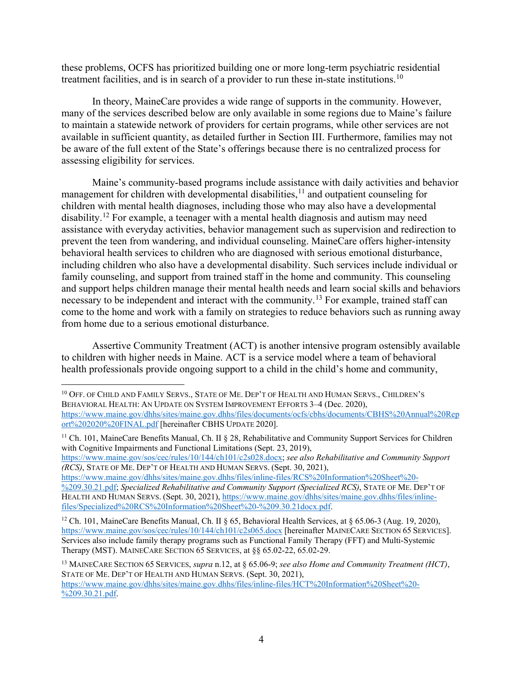these problems, OCFS has prioritized building one or more long-term psychiatric residential treatment facilities, and is in search of a provider to run these in-state institutions.<sup>[10](#page-3-0)</sup>

In theory, MaineCare provides a wide range of supports in the community. However, many of the services described below are only available in some regions due to Maine's failure to maintain a statewide network of providers for certain programs, while other services are not available in sufficient quantity, as detailed further in Section III. Furthermore, families may not be aware of the full extent of the State's offerings because there is no centralized process for assessing eligibility for services.

Maine's community-based programs include assistance with daily activities and behavior management for children with developmental disabilities, $11$  and outpatient counseling for children with mental health diagnoses, including those who may also have a developmental disability.<sup>[12](#page-3-2)</sup> For example, a teenager with a mental health diagnosis and autism may need assistance with everyday activities, behavior management such as supervision and redirection to prevent the teen from wandering, and individual counseling. MaineCare offers higher-intensity behavioral health services to children who are diagnosed with serious emotional disturbance, including children who also have a developmental disability. Such services include individual or family counseling, and support from trained staff in the home and community. This counseling and support helps children manage their mental health needs and learn social skills and behaviors necessary to be independent and interact with the community.<sup>13</sup> For example, trained staff can come to the home and work with a family on strategies to reduce behaviors such as running away from home due to a serious emotional disturbance.

Assertive Community Treatment (ACT) is another intensive program ostensibly available to children with higher needs in Maine. ACT is a service model where a team of behavioral health professionals provide ongoing support to a child in the child's home and community,

 $\overline{a}$ 

<span id="page-3-1"></span><sup>11</sup> Ch. 101, MaineCare Benefits Manual, Ch. II § 28, Rehabilitative and Community Support Services for Children with Cognitive Impairments and Functional Limitations (Sept. 23, 2019),

[https://www.maine.gov/sos/cec/rules/10/144/ch101/c2s028.docx;](https://www.maine.gov/sos/cec/rules/10/144/ch101/c2s028.docx) *see also Rehabilitative and Community Support (RCS)*, STATE OF ME. DEP'T OF HEALTH AND HUMAN SERVS. (Sept. 30, 2021),

[https://www.maine.gov/dhhs/sites/maine.gov.dhhs/files/inline-files/RCS%20Information%20Sheet%20-](https://www.maine.gov/dhhs/sites/maine.gov.dhhs/files/inline-files/RCS%20Information%20Sheet%20-%209.30.21.pdf) [%209.30.21.pdf;](https://www.maine.gov/dhhs/sites/maine.gov.dhhs/files/inline-files/RCS%20Information%20Sheet%20-%209.30.21.pdf) *Specialized Rehabilitative and Community Support (Specialized RCS)*, STATE OF ME. DEP'T OF HEALTH AND HUMAN SERVS. (Sept. 30, 2021), [https://www.maine.gov/dhhs/sites/maine.gov.dhhs/files/inline](https://www.maine.gov/dhhs/sites/maine.gov.dhhs/files/inline-files/Specialized%20RCS%20Information%20Sheet%20-%209.30.21docx.pdf)[files/Specialized%20RCS%20Information%20Sheet%20-%209.30.21docx.pdf.](https://www.maine.gov/dhhs/sites/maine.gov.dhhs/files/inline-files/Specialized%20RCS%20Information%20Sheet%20-%209.30.21docx.pdf)

[https://www.maine.gov/dhhs/sites/maine.gov.dhhs/files/inline-files/HCT%20Information%20Sheet%20-](https://www.maine.gov/dhhs/sites/maine.gov.dhhs/files/inline-files/HCT%20Information%20Sheet%20-%209.30.21.pdf) [%209.30.21.pdf.](https://www.maine.gov/dhhs/sites/maine.gov.dhhs/files/inline-files/HCT%20Information%20Sheet%20-%209.30.21.pdf)

<span id="page-3-0"></span><sup>&</sup>lt;sup>10</sup> OFF. OF CHILD AND FAMILY SERVS., STATE OF ME. DEP'T OF HEALTH AND HUMAN SERVS., CHILDREN'S BEHAVIORAL HEALTH: AN UPDATE ON SYSTEM IMPROVEMENT EFFORTS 3–4 (Dec. 2020), [https://www.maine.gov/dhhs/sites/maine.gov.dhhs/files/documents/ocfs/cbhs/documents/CBHS%20Annual%20Rep](https://www.maine.gov/dhhs/sites/maine.gov.dhhs/files/documents/ocfs/cbhs/documents/CBHS%20Annual%20Report%202020%20FINAL.pdf) [ort%202020%20FINAL.pdf](https://www.maine.gov/dhhs/sites/maine.gov.dhhs/files/documents/ocfs/cbhs/documents/CBHS%20Annual%20Report%202020%20FINAL.pdf) [hereinafter CBHS UPDATE 2020].

<span id="page-3-2"></span><sup>12</sup> Ch. 101, MaineCare Benefits Manual, Ch. II § 65, Behavioral Health Services, at § 65.06-3 (Aug. 19, 2020), <https://www.maine.gov/sos/cec/rules/10/144/ch101/c2s065.docx> [hereinafter MAINECARE SECTION 65 SERVICES]. Services also include family therapy programs such as Functional Family Therapy (FFT) and Multi-Systemic Therapy (MST). MAINECARE SECTION 65 SERVICES, at §§ 65.02-22, 65.02-29.

<span id="page-3-3"></span><sup>13</sup> MAINECARE SECTION 65 SERVICES, *supra* n.12, at § 65.06-9; *see also Home and Community Treatment (HCT)*, STATE OF ME. DEP'T OF HEALTH AND HUMAN SERVS. (Sept. 30, 2021),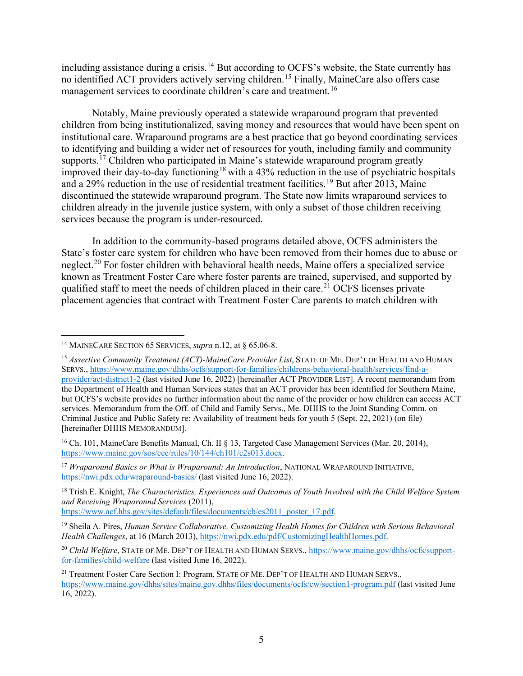including assistance during a crisis.<sup>[14](#page-4-0)</sup> But according to OCFS's website, the State currently has no identified ACT providers actively serving children.<sup>[15](#page-4-1)</sup> Finally, MaineCare also offers case management services to coordinate children's care and treatment.<sup>[16](#page-4-2)</sup>

Notably, Maine previously operated a statewide wraparound program that prevented children from being institutionalized, saving money and resources that would have been spent on institutional care. Wraparound programs are a best practice that go beyond coordinating services to identifying and building a wider net of resources for youth, including family and community supports.<sup>[17](#page-4-3)</sup> Children who participated in Maine's statewide wraparound program greatly improved their day-to-day functioning<sup>[18](#page-4-4)</sup> with a 43% reduction in the use of psychiatric hospitals and a 29% reduction in the use of residential treatment facilities. [19](#page-4-5) But after 2013, Maine discontinued the statewide wraparound program. The State now limits wraparound services to children already in the juvenile justice system, with only a subset of those children receiving services because the program is under-resourced.

In addition to the community-based programs detailed above, OCFS administers the State's foster care system for children who have been removed from their homes due to abuse or neglect.<sup>[20](#page-4-6)</sup> For foster children with behavioral health needs, Maine offers a specialized service known as Treatment Foster Care where foster parents are trained, supervised, and supported by qualified staff to meet the needs of children placed in their care.<sup>[21](#page-4-7)</sup> OCFS licenses private placement agencies that contract with Treatment Foster Care parents to match children with

 $\overline{a}$ 

<span id="page-4-0"></span><sup>14</sup> MAINECARE SECTION 65 SERVICES, *supra* n.12, at § 65.06-8.

<span id="page-4-1"></span><sup>&</sup>lt;sup>15</sup> Assertive Community Treatment (ACT)-MaineCare Provider List, STATE OF ME. DEP'T OF HEALTH AND HUMAN SERVS.[, https://www.maine.gov/dhhs/ocfs/support-for-families/childrens-behavioral-health/services/find-a](https://www.maine.gov/dhhs/ocfs/support-for-families/childrens-behavioral-health/services/find-a-provider/act-district1-2)[provider/act-district1-2](https://www.maine.gov/dhhs/ocfs/support-for-families/childrens-behavioral-health/services/find-a-provider/act-district1-2) (last visited June 16, 2022) [hereinafter ACT PROVIDER LIST]. A recent memorandum from the Department of Health and Human Services states that an ACT provider has been identified for Southern Maine, but OCFS's website provides no further information about the name of the provider or how children can access ACT services. Memorandum from the Off. of Child and Family Servs., Me. DHHS to the Joint Standing Comm. on Criminal Justice and Public Safety re: Availability of treatment beds for youth 5 (Sept. 22, 2021) (on file) [hereinafter DHHS MEMORANDUM].

<span id="page-4-2"></span><sup>&</sup>lt;sup>16</sup> Ch. 101, MaineCare Benefits Manual, Ch. II § 13, Targeted Case Management Services (Mar. 20, 2014), [https://www.maine.gov/sos/cec/rules/10/144/ch101/c2s013.docx.](https://www.maine.gov/sos/cec/rules/10/144/ch101/c2s013.docx)

<span id="page-4-3"></span><sup>&</sup>lt;sup>17</sup> *Wraparound Basics or What is Wraparound: An Introduction*, NATIONAL WRAPAROUND INITIATIVE, <https://nwi.pdx.edu/wraparound-basics/> (last visited June 16, 2022).

<span id="page-4-4"></span><sup>18</sup> Trish E. Knight, *The Characteristics, Experiences and Outcomes of Youth Involved with the Child Welfare System and Receiving Wraparound Services* (2011),

[https://www.acf.hhs.gov/sites/default/files/documents/cb/es2011\\_poster\\_17.pdf.](https://www.acf.hhs.gov/sites/default/files/documents/cb/es2011_poster_17.pdf)

<span id="page-4-5"></span><sup>19</sup> Sheila A. Pires, *Human Service Collaborative, Customizing Health Homes for Children with Serious Behavioral Health Challenges*, at 16 (March 2013), [https://nwi.pdx.edu/pdf/CustomizingHealthHomes.pdf.](https://nwi.pdx.edu/pdf/CustomizingHealthHomes.pdf)

<span id="page-4-6"></span><sup>20</sup> *Child Welfare*, STATE OF ME. DEP'T OF HEALTH AND HUMAN SERVS., [https://www.maine.gov/dhhs/ocfs/support](https://www.maine.gov/dhhs/ocfs/support-for-families/child-welfare)[for-families/child-welfare](https://www.maine.gov/dhhs/ocfs/support-for-families/child-welfare) (last visited June 16, 2022).

<span id="page-4-7"></span><sup>&</sup>lt;sup>21</sup> Treatment Foster Care Section I: Program, STATE OF ME. DEP'T OF HEALTH AND HUMAN SERVS., <https://www.maine.gov/dhhs/sites/maine.gov.dhhs/files/documents/ocfs/cw/section1-program.pdf> (last visited June 16, 2022).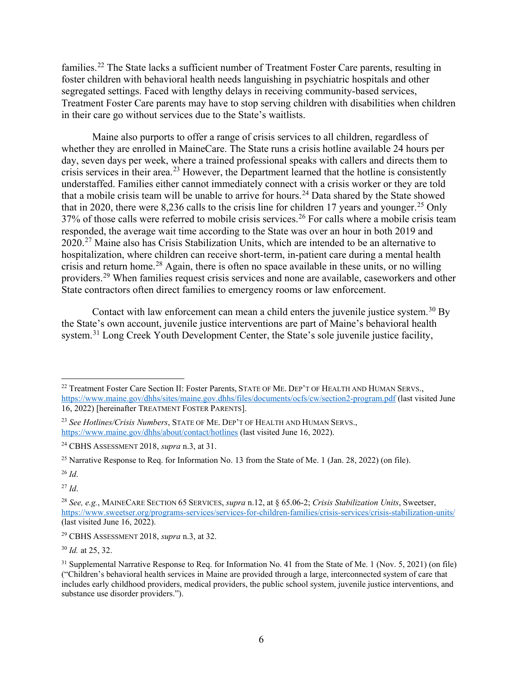families.<sup>[22](#page-5-0)</sup> The State lacks a sufficient number of Treatment Foster Care parents, resulting in foster children with behavioral health needs languishing in psychiatric hospitals and other segregated settings. Faced with lengthy delays in receiving community-based services, Treatment Foster Care parents may have to stop serving children with disabilities when children in their care go without services due to the State's waitlists.

Maine also purports to offer a range of crisis services to all children, regardless of whether they are enrolled in MaineCare. The State runs a crisis hotline available 24 hours per day, seven days per week, where a trained professional speaks with callers and directs them to crisis services in their area.<sup>23</sup> However, the Department learned that the hotline is consistently understaffed. Families either cannot immediately connect with a crisis worker or they are told that a mobile crisis team will be unable to arrive for hours.<sup>[24](#page-5-2)</sup> Data shared by the State showed that in 2020, there were 8,236 calls to the crisis line for children 17 years and younger.<sup>[25](#page-5-3)</sup> Only 37% of those calls were referred to mobile crisis services.<sup>26</sup> For calls where a mobile crisis team responded, the average wait time according to the State was over an hour in both 2019 and 2020.<sup>[27](#page-5-5)</sup> Maine also has Crisis Stabilization Units, which are intended to be an alternative to hospitalization, where children can receive short-term, in-patient care during a mental health crisis and return home.[28](#page-5-6) Again, there is often no space available in these units, or no willing providers.[29](#page-5-7) When families request crisis services and none are available, caseworkers and other State contractors often direct families to emergency rooms or law enforcement.

Contact with law enforcement can mean a child enters the juvenile justice system.<sup>[30](#page-5-8)</sup> By the State's own account, juvenile justice interventions are part of Maine's behavioral health system.<sup>31</sup> Long Creek Youth Development Center, the State's sole juvenile justice facility,

<span id="page-5-5"></span><sup>27</sup> *Id*.

<span id="page-5-8"></span><sup>30</sup> *Id.* at 25, 32.

<span id="page-5-0"></span> $\overline{a}$ <sup>22</sup> Treatment Foster Care Section II: Foster Parents, STATE OF ME. DEP'T OF HEALTH AND HUMAN SERVS., <https://www.maine.gov/dhhs/sites/maine.gov.dhhs/files/documents/ocfs/cw/section2-program.pdf> (last visited June 16, 2022) [hereinafter TREATMENT FOSTER PARENTS].

<span id="page-5-1"></span><sup>23</sup> *See Hotlines/Crisis Numbers*, STATE OF ME. DEP'T OF HEALTH AND HUMAN SERVS., <https://www.maine.gov/dhhs/about/contact/hotlines> (last visited June 16, 2022).

<span id="page-5-2"></span><sup>24</sup> CBHS ASSESSMENT 2018, *supra* n.3, at 31.

<span id="page-5-3"></span><sup>&</sup>lt;sup>25</sup> Narrative Response to Req. for Information No. 13 from the State of Me. 1 (Jan. 28, 2022) (on file).

<span id="page-5-4"></span><sup>26</sup> *Id*.

<span id="page-5-6"></span><sup>28</sup> *See, e.g.*, MAINECARE SECTION 65 SERVICES, *supra* n.12, at § 65.06-2; *Crisis Stabilization Units*, Sweetser, <https://www.sweetser.org/programs-services/services-for-children-families/crisis-services/crisis-stabilization-units/> (last visited June 16, 2022).

<span id="page-5-7"></span><sup>29</sup> CBHS ASSESSMENT 2018, *supra* n.3, at 32.

<span id="page-5-9"></span><sup>&</sup>lt;sup>31</sup> Supplemental Narrative Response to Req. for Information No. 41 from the State of Me. 1 (Nov. 5, 2021) (on file) ("Children's behavioral health services in Maine are provided through a large, interconnected system of care that includes early childhood providers, medical providers, the public school system, juvenile justice interventions, and substance use disorder providers.").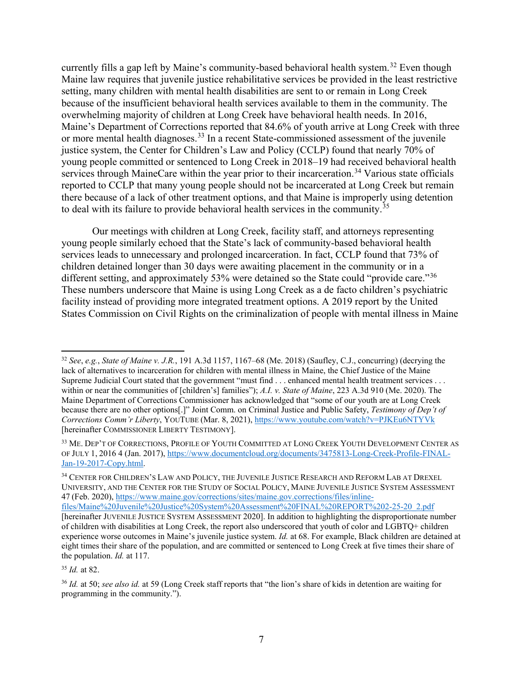currently fills a gap left by Maine's community-based behavioral health system.<sup>32</sup> Even though Maine law requires that juvenile justice rehabilitative services be provided in the least restrictive setting, many children with mental health disabilities are sent to or remain in Long Creek because of the insufficient behavioral health services available to them in the community. The overwhelming majority of children at Long Creek have behavioral health needs. In 2016, Maine's Department of Corrections reported that 84.6% of youth arrive at Long Creek with three or more mental health diagnoses.<sup>[33](#page-6-1)</sup> In a recent State-commissioned assessment of the juvenile justice system, the Center for Children's Law and Policy (CCLP) found that nearly 70% of young people committed or sentenced to Long Creek in 2018–19 had received behavioral health services through MaineCare within the year prior to their incarceration.<sup>[34](#page-6-2)</sup> Various state officials reported to CCLP that many young people should not be incarcerated at Long Creek but remain there because of a lack of other treatment options, and that Maine is improperly using detention to deal with its failure to provide behavioral health services in the community.<sup>[35](#page-6-3)</sup>

Our meetings with children at Long Creek, facility staff, and attorneys representing young people similarly echoed that the State's lack of community-based behavioral health services leads to unnecessary and prolonged incarceration. In fact, CCLP found that 73% of children detained longer than 30 days were awaiting placement in the community or in a different setting, and approximately 53% were detained so the State could "provide care."<sup>[36](#page-6-4)</sup> These numbers underscore that Maine is using Long Creek as a de facto children's psychiatric facility instead of providing more integrated treatment options. A 2019 report by the United States Commission on Civil Rights on the criminalization of people with mental illness in Maine

<span id="page-6-2"></span><sup>34</sup> CENTER FOR CHILDREN'S LAW AND POLICY, THE JUVENILE JUSTICE RESEARCH AND REFORM LAB AT DREXEL UNIVERSITY, AND THE CENTER FOR THE STUDY OF SOCIAL POLICY, MAINE JUVENILE JUSTICE SYSTEM ASSESSMENT 47 (Feb. 2020)[, https://www.maine.gov/corrections/sites/maine.gov.corrections/files/inline-](https://www.maine.gov/corrections/sites/maine.gov.corrections/files/inline-files/Maine%20Juvenile%20Justice%20System%20Assessment%20FINAL%20REPORT%202-25-20_2.pdf)

<span id="page-6-3"></span><sup>35</sup> *Id.* at 82.

 $\overline{a}$ 

<span id="page-6-0"></span><sup>32</sup> *See*, *e.g.*, *State of Maine v. J.R.*, 191 A.3d 1157, 1167–68 (Me. 2018) (Saufley, C.J., concurring) (decrying the lack of alternatives to incarceration for children with mental illness in Maine, the Chief Justice of the Maine Supreme Judicial Court stated that the government "must find . . . enhanced mental health treatment services . . . within or near the communities of [children's] families"); *A.I. v. State of Maine*, 223 A.3d 910 (Me. 2020). The Maine Department of Corrections Commissioner has acknowledged that "some of our youth are at Long Creek because there are no other options[.]" Joint Comm. on Criminal Justice and Public Safety, *Testimony of Dep't of Corrections Comm'r Liberty*, YOUTUBE (Mar. 8, 2021),<https://www.youtube.com/watch?v=PJKEu6NTYVk> [hereinafter COMMISSIONER LIBERTY TESTIMONY].

<span id="page-6-1"></span><sup>&</sup>lt;sup>33</sup> ME. DEP'T OF CORRECTIONS, PROFILE OF YOUTH COMMITTED AT LONG CREEK YOUTH DEVELOPMENT CENTER AS OF JULY 1, 2016 4 (Jan. 2017), [https://www.documentcloud.org/documents/3475813-Long-Creek-Profile-FINAL-](https://www.documentcloud.org/documents/3475813-Long-Creek-Profile-FINAL-Jan-19-2017-Copy.html)[Jan-19-2017-Copy.html.](https://www.documentcloud.org/documents/3475813-Long-Creek-Profile-FINAL-Jan-19-2017-Copy.html)

[files/Maine%20Juvenile%20Justice%20System%20Assessment%20FINAL%20REPORT%202-25-20\\_2.pdf](https://www.maine.gov/corrections/sites/maine.gov.corrections/files/inline-files/Maine%20Juvenile%20Justice%20System%20Assessment%20FINAL%20REPORT%202-25-20_2.pdf) [hereinafter JUVENILE JUSTICE SYSTEM ASSESSMENT 2020]. In addition to highlighting the disproportionate number of children with disabilities at Long Creek, the report also underscored that youth of color and LGBTQ+ children experience worse outcomes in Maine's juvenile justice system. *Id.* at 68. For example, Black children are detained at eight times their share of the population, and are committed or sentenced to Long Creek at five times their share of the population. *Id.* at 117.

<span id="page-6-4"></span><sup>36</sup> *Id.* at 50; *see also id.* at 59 (Long Creek staff reports that "the lion's share of kids in detention are waiting for programming in the community.").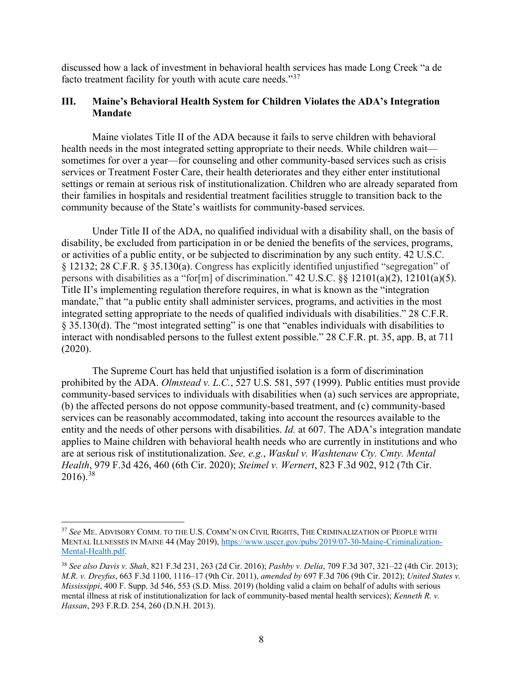discussed how a lack of investment in behavioral health services has made Long Creek "a de facto treatment facility for youth with acute care needs."[37](#page-7-0)

### **III. Maine's Behavioral Health System for Children Violates the ADA's Integration Mandate**

Maine violates Title II of the ADA because it fails to serve children with behavioral health needs in the most integrated setting appropriate to their needs. While children wait sometimes for over a year—for counseling and other community-based services such as crisis services or Treatment Foster Care, their health deteriorates and they either enter institutional settings or remain at serious risk of institutionalization. Children who are already separated from their families in hospitals and residential treatment facilities struggle to transition back to the community because of the State's waitlists for community-based services.

Under Title II of the ADA, no qualified individual with a disability shall, on the basis of disability, be excluded from participation in or be denied the benefits of the services, programs, or activities of a public entity, or be subjected to discrimination by any such entity. 42 U.S.C. § 12132; 28 C.F.R. § 35.130(a). Congress has explicitly identified unjustified "segregation" of persons with disabilities as a "for[m] of discrimination."  $42 \text{ U.S.C. }$   $\S$   $\S$   $12101(a)(2)$ ,  $12101(a)(5)$ . Title II's implementing regulation therefore requires, in what is known as the "integration mandate," that "a public entity shall administer services, programs, and activities in the most integrated setting appropriate to the needs of qualified individuals with disabilities." 28 C.F.R. § 35.130(d). The "most integrated setting" is one that "enables individuals with disabilities to interact with nondisabled persons to the fullest extent possible." 28 C.F.R. pt. 35, app. B, at 711 (2020).

The Supreme Court has held that unjustified isolation is a form of discrimination prohibited by the ADA. *Olmstead v. L.C.*, 527 U.S. 581, 597 (1999). Public entities must provide community-based services to individuals with disabilities when (a) such services are appropriate, (b) the affected persons do not oppose community-based treatment, and (c) community-based services can be reasonably accommodated, taking into account the resources available to the entity and the needs of other persons with disabilities. *Id.* at 607. The ADA's integration mandate applies to Maine children with behavioral health needs who are currently in institutions and who are at serious risk of institutionalization. *See, e.g.*, *Waskul v. Washtenaw Cty. Cmty. Mental Health*, 979 F.3d 426, 460 (6th Cir. 2020); *Steimel v. Wernert*, 823 F.3d 902, 912 (7th Cir.  $2016$ ).<sup>38</sup>

<span id="page-7-0"></span> $\overline{a}$ <sup>37</sup> *See* ME. ADVISORY COMM. TO THE U.S. COMM'N ON CIVIL RIGHTS, THE CRIMINALIZATION OF PEOPLE WITH MENTAL ILLNESSES IN MAINE 44 (May 2019), [https://www.usccr.gov/pubs/2019/07-30-Maine-Criminalization-](https://www.usccr.gov/pubs/2019/07-30-Maine-Criminalization-Mental-Health.pdf)[Mental-Health.pdf.](https://www.usccr.gov/pubs/2019/07-30-Maine-Criminalization-Mental-Health.pdf)

<span id="page-7-1"></span><sup>38</sup> *See also Davis v. Shah*, 821 F.3d 231, 263 (2d Cir. 2016); *Pashby v. Delia*, 709 F.3d 307, 321–22 (4th Cir. 2013); *M.R. v. Dreyfus*, 663 F.3d 1100, 1116–17 (9th Cir. 2011), *amended by* 697 F.3d 706 (9th Cir. 2012); *United States v. Mississippi*, 400 F. Supp. 3d 546, 553 (S.D. Miss. 2019) (holding valid a claim on behalf of adults with serious mental illness at risk of institutionalization for lack of community-based mental health services); *Kenneth R. v. Hassan*, 293 F.R.D. 254, 260 (D.N.H. 2013).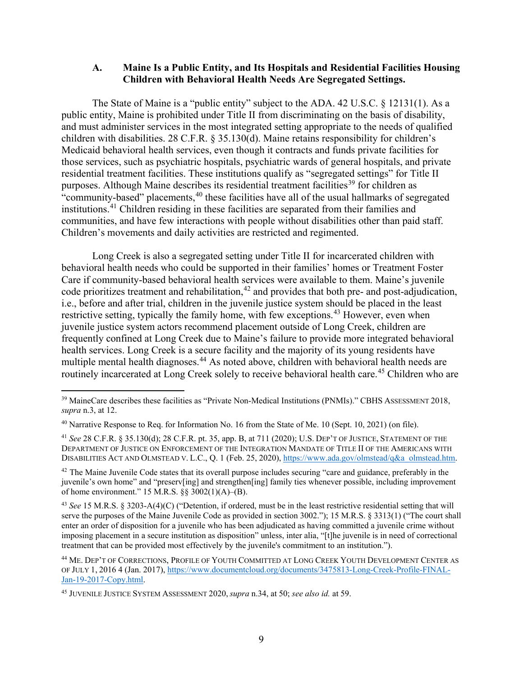#### **A. Maine Is a Public Entity, and Its Hospitals and Residential Facilities Housing Children with Behavioral Health Needs Are Segregated Settings.**

The State of Maine is a "public entity" subject to the ADA. 42 U.S.C. § 12131(1). As a public entity, Maine is prohibited under Title II from discriminating on the basis of disability, and must administer services in the most integrated setting appropriate to the needs of qualified children with disabilities. 28 C.F.R. § 35.130(d). Maine retains responsibility for children's Medicaid behavioral health services, even though it contracts and funds private facilities for those services, such as psychiatric hospitals, psychiatric wards of general hospitals, and private residential treatment facilities. These institutions qualify as "segregated settings" for Title II purposes. Although Maine describes its residential treatment facilities<sup>[39](#page-8-0)</sup> for children as "community-based" placements,<sup>[40](#page-8-1)</sup> these facilities have all of the usual hallmarks of segregated institutions.[41](#page-8-2) Children residing in these facilities are separated from their families and communities, and have few interactions with people without disabilities other than paid staff. Children's movements and daily activities are restricted and regimented.

Long Creek is also a segregated setting under Title II for incarcerated children with behavioral health needs who could be supported in their families' homes or Treatment Foster Care if community-based behavioral health services were available to them. Maine's juvenile code prioritizes treatment and rehabilitation, $42$  and provides that both pre- and post-adjudication, i.e., before and after trial, children in the juvenile justice system should be placed in the least restrictive setting, typically the family home, with few exceptions.<sup>43</sup> However, even when juvenile justice system actors recommend placement outside of Long Creek, children are frequently confined at Long Creek due to Maine's failure to provide more integrated behavioral health services. Long Creek is a secure facility and the majority of its young residents have multiple mental health diagnoses.<sup>44</sup> As noted above, children with behavioral health needs are routinely incarcerated at Long Creek solely to receive behavioral health care.<sup>[45](#page-8-6)</sup> Children who are

<span id="page-8-3"></span><sup>42</sup> The Maine Juvenile Code states that its overall purpose includes securing "care and guidance, preferably in the juvenile's own home" and "preserv[ing] and strengthen[ing] family ties whenever possible, including improvement of home environment." 15 M.R.S. §§ 3002(1)(A)–(B).

<span id="page-8-0"></span> $\overline{a}$ <sup>39</sup> MaineCare describes these facilities as "Private Non-Medical Institutions (PNMIs)." CBHS ASSESSMENT 2018, *supra* n.3, at 12.

<span id="page-8-1"></span><sup>40</sup> Narrative Response to Req. for Information No. 16 from the State of Me. 10 (Sept. 10, 2021) (on file).

<span id="page-8-2"></span><sup>41</sup> *See* 28 C.F.R. § 35.130(d); 28 C.F.R. pt. 35, app. B, at 711 (2020); U.S. DEP'T OF JUSTICE, STATEMENT OF THE DEPARTMENT OF JUSTICE ON ENFORCEMENT OF THE INTEGRATION MANDATE OF TITLE II OF THE AMERICANS WITH DISABILITIES ACT AND OLMSTEAD V. L.C., Q. 1 (Feb. 25, 2020), [https://www.ada.gov/olmstead/q&a\\_olmstead.htm.](https://www.ada.gov/olmstead/q&a_olmstead.htm)

<span id="page-8-4"></span><sup>43</sup> *See* 15 M.R.S. § 3203-A(4)(C) ("Detention, if ordered, must be in the least restrictive residential setting that will serve the purposes of the Maine Juvenile Code as provided in section 3002."); 15 M.R.S. § 3313(1) ("The court shall enter an order of disposition for a juvenile who has been adjudicated as having committed a juvenile crime without imposing placement in a secure institution as disposition" unless, inter alia, "[t]he juvenile is in need of correctional treatment that can be provided most effectively by the juvenile's commitment to an institution.").

<span id="page-8-5"></span><sup>44</sup> ME. DEP'T OF CORRECTIONS, PROFILE OF YOUTH COMMITTED AT LONG CREEK YOUTH DEVELOPMENT CENTER AS OF JULY 1, 2016 4 (Jan. 2017), [https://www.documentcloud.org/documents/3475813-Long-Creek-Profile-FINAL-](https://www.documentcloud.org/documents/3475813-Long-Creek-Profile-FINAL-Jan-19-2017-Copy.html)[Jan-19-2017-Copy.html.](https://www.documentcloud.org/documents/3475813-Long-Creek-Profile-FINAL-Jan-19-2017-Copy.html)

<span id="page-8-6"></span><sup>45</sup> JUVENILE JUSTICE SYSTEM ASSESSMENT 2020, *supra* n.34, at 50; *see also id.* at 59.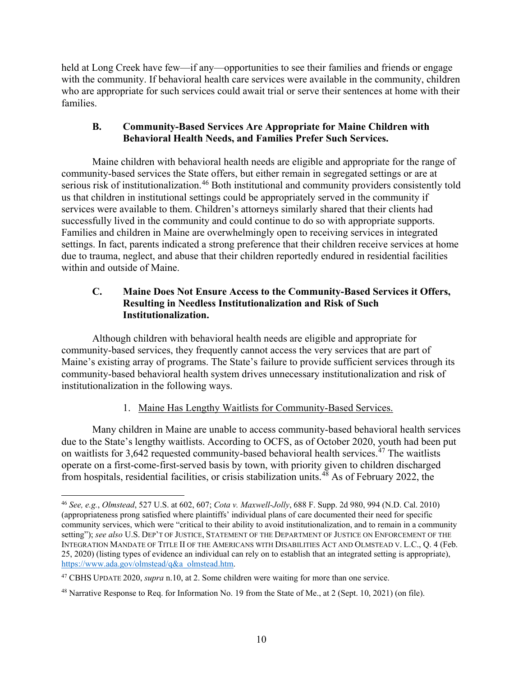held at Long Creek have few—if any—opportunities to see their families and friends or engage with the community. If behavioral health care services were available in the community, children who are appropriate for such services could await trial or serve their sentences at home with their families.

## **B. Community-Based Services Are Appropriate for Maine Children with Behavioral Health Needs, and Families Prefer Such Services.**

Maine children with behavioral health needs are eligible and appropriate for the range of community-based services the State offers, but either remain in segregated settings or are at serious risk of institutionalization.<sup>46</sup> Both institutional and community providers consistently told us that children in institutional settings could be appropriately served in the community if services were available to them. Children's attorneys similarly shared that their clients had successfully lived in the community and could continue to do so with appropriate supports. Families and children in Maine are overwhelmingly open to receiving services in integrated settings. In fact, parents indicated a strong preference that their children receive services at home due to trauma, neglect, and abuse that their children reportedly endured in residential facilities within and outside of Maine.

# **C. Maine Does Not Ensure Access to the Community-Based Services it Offers, Resulting in Needless Institutionalization and Risk of Such Institutionalization.**

Although children with behavioral health needs are eligible and appropriate for community-based services, they frequently cannot access the very services that are part of Maine's existing array of programs. The State's failure to provide sufficient services through its community-based behavioral health system drives unnecessary institutionalization and risk of institutionalization in the following ways.

# 1. Maine Has Lengthy Waitlists for Community-Based Services.

Many children in Maine are unable to access community-based behavioral health services due to the State's lengthy waitlists. According to OCFS, as of October 2020, youth had been put on waitlists for  $3.642$  requested community-based behavioral health services.<sup>[47](#page-9-1)</sup> The waitlists operate on a first-come-first-served basis by town, with priority given to children discharged from hospitals, residential facilities, or crisis stabilization units.<sup>[48](#page-9-2)</sup> As of February 2022, the

<span id="page-9-0"></span> $\overline{a}$ <sup>46</sup> *See, e.g.*, *Olmstead*, 527 U.S. at 602, 607; *Cota v. Maxwell-Jolly*, 688 F. Supp. 2d 980, 994 (N.D. Cal. 2010) (appropriateness prong satisfied where plaintiffs' individual plans of care documented their need for specific community services, which were "critical to their ability to avoid institutionalization, and to remain in a community setting"); *see also* U.S. DEP'T OF JUSTICE, STATEMENT OF THE DEPARTMENT OF JUSTICE ON ENFORCEMENT OF THE INTEGRATION MANDATE OF TITLE II OF THE AMERICANS WITH DISABILITIES ACT AND OLMSTEAD V. L.C., Q. 4 (Feb. 25, 2020) (listing types of evidence an individual can rely on to establish that an integrated setting is appropriate), [https://www.ada.gov/olmstead/q&a\\_olmstead.htm.](https://www.ada.gov/olmstead/q&a_olmstead.htm) 

<span id="page-9-1"></span><sup>47</sup> CBHS UPDATE 2020, *supra* n.10, at 2. Some children were waiting for more than one service.

<span id="page-9-2"></span><sup>&</sup>lt;sup>48</sup> Narrative Response to Req. for Information No. 19 from the State of Me., at 2 (Sept. 10, 2021) (on file).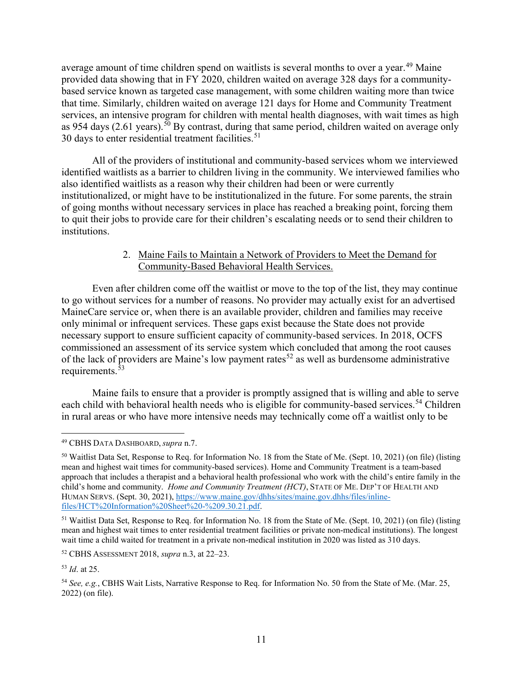average amount of time children spend on waitlists is several months to over a year.<sup>[49](#page-10-0)</sup> Maine provided data showing that in FY 2020, children waited on average 328 days for a communitybased service known as targeted case management, with some children waiting more than twice that time. Similarly, children waited on average 121 days for Home and Community Treatment services, an intensive program for children with mental health diagnoses, with wait times as high as 954 days (2.61 years).<sup>50</sup> By contrast, during that same period, children waited on average only 30 days to enter residential treatment facilities. [51](#page-10-2)

All of the providers of institutional and community-based services whom we interviewed identified waitlists as a barrier to children living in the community. We interviewed families who also identified waitlists as a reason why their children had been or were currently institutionalized, or might have to be institutionalized in the future. For some parents, the strain of going months without necessary services in place has reached a breaking point, forcing them to quit their jobs to provide care for their children's escalating needs or to send their children to institutions.

#### 2. Maine Fails to Maintain a Network of Providers to Meet the Demand for Community-Based Behavioral Health Services.

Even after children come off the waitlist or move to the top of the list, they may continue to go without services for a number of reasons. No provider may actually exist for an advertised MaineCare service or, when there is an available provider, children and families may receive only minimal or infrequent services. These gaps exist because the State does not provide necessary support to ensure sufficient capacity of community-based services. In 2018, OCFS commissioned an assessment of its service system which concluded that among the root causes of the lack of providers are Maine's low payment rates<sup>[52](#page-10-3)</sup> as well as burdensome administrative requirements.<sup>[53](#page-10-4)</sup>

Maine fails to ensure that a provider is promptly assigned that is willing and able to serve each child with behavioral health needs who is eligible for community-based services.<sup>54</sup> Children in rural areas or who have more intensive needs may technically come off a waitlist only to be

<span id="page-10-0"></span> $\overline{a}$ <sup>49</sup> CBHS DATA DASHBOARD, *supra* n.7.

<span id="page-10-1"></span><sup>50</sup> Waitlist Data Set, Response to Req. for Information No. 18 from the State of Me. (Sept. 10, 2021) (on file) (listing mean and highest wait times for community-based services). Home and Community Treatment is a team-based approach that includes a therapist and a behavioral health professional who work with the child's entire family in the child's home and community. *Home and Community Treatment (HCT)*, STATE OF ME. DEP'T OF HEALTH AND HUMAN SERVS. (Sept. 30, 2021), [https://www.maine.gov/dhhs/sites/maine.gov.dhhs/files/inline](https://www.maine.gov/dhhs/sites/maine.gov.dhhs/files/inline-files/HCT%20Information%20Sheet%20-%209.30.21.pdf)[files/HCT%20Information%20Sheet%20-%209.30.21.pdf.](https://www.maine.gov/dhhs/sites/maine.gov.dhhs/files/inline-files/HCT%20Information%20Sheet%20-%209.30.21.pdf) 

<span id="page-10-2"></span><sup>&</sup>lt;sup>51</sup> Waitlist Data Set, Response to Req. for Information No. 18 from the State of Me. (Sept. 10, 2021) (on file) (listing mean and highest wait times to enter residential treatment facilities or private non-medical institutions). The longest wait time a child waited for treatment in a private non-medical institution in 2020 was listed as 310 days.

<span id="page-10-3"></span><sup>52</sup> CBHS ASSESSMENT 2018, *supra* n.3, at 22–23.

<span id="page-10-4"></span><sup>53</sup> *Id*. at 25.

<span id="page-10-5"></span><sup>54</sup> *See, e.g.*, CBHS Wait Lists, Narrative Response to Req. for Information No. 50 from the State of Me. (Mar. 25, 2022) (on file).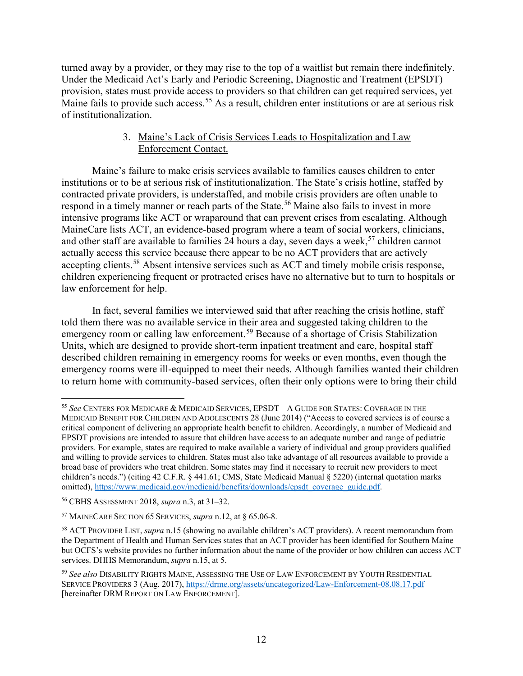turned away by a provider, or they may rise to the top of a waitlist but remain there indefinitely. Under the Medicaid Act's Early and Periodic Screening, Diagnostic and Treatment (EPSDT) provision, states must provide access to providers so that children can get required services, yet Maine fails to provide such access. [55](#page-11-0) As a result, children enter institutions or are at serious risk of institutionalization.

## 3. Maine's Lack of Crisis Services Leads to Hospitalization and Law Enforcement Contact.

Maine's failure to make crisis services available to families causes children to enter institutions or to be at serious risk of institutionalization. The State's crisis hotline, staffed by contracted private providers, is understaffed, and mobile crisis providers are often unable to respond in a timely manner or reach parts of the State.<sup>[56](#page-11-1)</sup> Maine also fails to invest in more intensive programs like ACT or wraparound that can prevent crises from escalating. Although MaineCare lists ACT, an evidence-based program where a team of social workers, clinicians, and other staff are available to families 24 hours a day, seven days a week, [57](#page-11-2) children cannot actually access this service because there appear to be no ACT providers that are actively accepting clients.<sup>58</sup> Absent intensive services such as ACT and timely mobile crisis response, children experiencing frequent or protracted crises have no alternative but to turn to hospitals or law enforcement for help.

In fact, several families we interviewed said that after reaching the crisis hotline, staff told them there was no available service in their area and suggested taking children to the emergency room or calling law enforcement.<sup>[59](#page-11-4)</sup> Because of a shortage of Crisis Stabilization Units, which are designed to provide short-term inpatient treatment and care, hospital staff described children remaining in emergency rooms for weeks or even months, even though the emergency rooms were ill-equipped to meet their needs. Although families wanted their children to return home with community-based services, often their only options were to bring their child

<span id="page-11-0"></span> $\overline{a}$ <sup>55</sup> *See* CENTERS FOR MEDICARE & MEDICAID SERVICES, EPSDT – A GUIDE FOR STATES: COVERAGE IN THE MEDICAID BENEFIT FOR CHILDREN AND ADOLESCENTS 28 (June 2014) ("Access to covered services is of course a critical component of delivering an appropriate health benefit to children. Accordingly, a number of Medicaid and EPSDT provisions are intended to assure that children have access to an adequate number and range of pediatric providers. For example, states are required to make available a variety of individual and group providers qualified and willing to provide services to children. States must also take advantage of all resources available to provide a broad base of providers who treat children. Some states may find it necessary to recruit new providers to meet children's needs.") (citing 42 C.F.R. § 441.61; CMS, State Medicaid Manual § 5220) (internal quotation marks omitted), [https://www.medicaid.gov/medicaid/benefits/downloads/epsdt\\_coverage\\_guide.pdf.](https://www.medicaid.gov/medicaid/benefits/downloads/epsdt_coverage_guide.pdf)

<span id="page-11-1"></span><sup>56</sup> CBHS ASSESSMENT 2018, *supra* n.3, at 31–32.

<span id="page-11-2"></span><sup>57</sup> MAINECARE SECTION 65 SERVICES, *supra* n.12, at § 65.06-8.

<span id="page-11-3"></span><sup>58</sup> ACT PROVIDER LIST, *supra* n.15 (showing no available children's ACT providers). A recent memorandum from the Department of Health and Human Services states that an ACT provider has been identified for Southern Maine but OCFS's website provides no further information about the name of the provider or how children can access ACT services. DHHS Memorandum, *supra* n.15, at 5.

<span id="page-11-4"></span><sup>59</sup> *See also* DISABILITY RIGHTS MAINE, ASSESSING THE USE OF LAW ENFORCEMENT BY YOUTH RESIDENTIAL SERVICE PROVIDERS 3 (Aug. 2017),<https://drme.org/assets/uncategorized/Law-Enforcement-08.08.17.pdf> [hereinafter DRM REPORT ON LAW ENFORCEMENT].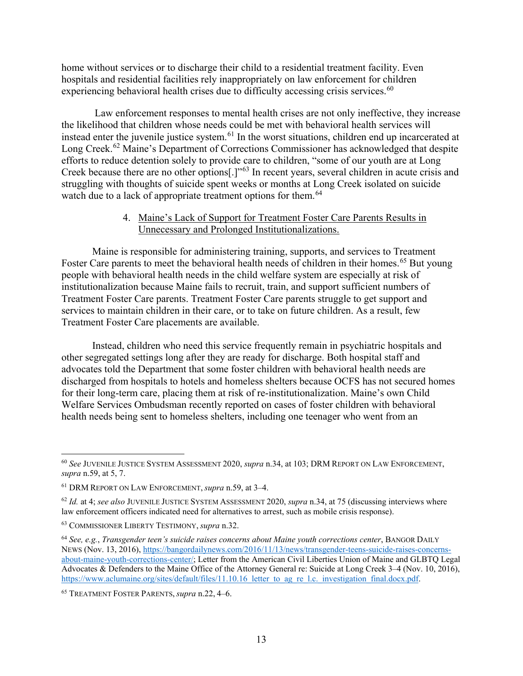home without services or to discharge their child to a residential treatment facility. Even hospitals and residential facilities rely inappropriately on law enforcement for children experiencing behavioral health crises due to difficulty accessing crisis services.<sup>60</sup>

Law enforcement responses to mental health crises are not only ineffective, they increase the likelihood that children whose needs could be met with behavioral health services will instead enter the juvenile justice system. [61](#page-12-1) In the worst situations, children end up incarcerated at Long Creek.<sup>[62](#page-12-2)</sup> Maine's Department of Corrections Commissioner has acknowledged that despite efforts to reduce detention solely to provide care to children, "some of our youth are at Long Creek because there are no other options[.]"[63](#page-12-3) In recent years, several children in acute crisis and struggling with thoughts of suicide spent weeks or months at Long Creek isolated on suicide watch due to a lack of appropriate treatment options for them.<sup>[64](#page-12-4)</sup>

#### 4. Maine's Lack of Support for Treatment Foster Care Parents Results in Unnecessary and Prolonged Institutionalizations.

Maine is responsible for administering training, supports, and services to Treatment Foster Care parents to meet the behavioral health needs of children in their homes.<sup>[65](#page-12-5)</sup> But young people with behavioral health needs in the child welfare system are especially at risk of institutionalization because Maine fails to recruit, train, and support sufficient numbers of Treatment Foster Care parents. Treatment Foster Care parents struggle to get support and services to maintain children in their care, or to take on future children. As a result, few Treatment Foster Care placements are available.

Instead, children who need this service frequently remain in psychiatric hospitals and other segregated settings long after they are ready for discharge. Both hospital staff and advocates told the Department that some foster children with behavioral health needs are discharged from hospitals to hotels and homeless shelters because OCFS has not secured homes for their long-term care, placing them at risk of re-institutionalization. Maine's own Child Welfare Services Ombudsman recently reported on cases of foster children with behavioral health needs being sent to homeless shelters, including one teenager who went from an

 $\overline{a}$ 

<span id="page-12-0"></span><sup>60</sup> *See* JUVENILE JUSTICE SYSTEM ASSESSMENT 2020, *supra* n.34, at 103; DRM REPORT ON LAW ENFORCEMENT, *supra* n.59, at 5, 7.

<span id="page-12-1"></span><sup>61</sup> DRM REPORT ON LAW ENFORCEMENT, *supra* n.59, at 3–4.

<span id="page-12-2"></span><sup>62</sup> *Id.* at 4; *see also* JUVENILE JUSTICE SYSTEM ASSESSMENT 2020, *supra* n.34, at 75 (discussing interviews where law enforcement officers indicated need for alternatives to arrest, such as mobile crisis response).

<span id="page-12-3"></span><sup>63</sup> COMMISSIONER LIBERTY TESTIMONY, *supra* n.32.

<span id="page-12-4"></span><sup>64</sup> *See, e.g.*, *Transgender teen's suicide raises concerns about Maine youth corrections center*, BANGOR DAILY NEWS (Nov. 13, 2016)[, https://bangordailynews.com/2016/11/13/news/transgender-teens-suicide-raises-concerns](https://bangordailynews.com/2016/11/13/news/transgender-teens-suicide-raises-concerns-about-maine-youth-corrections-center/)[about-maine-youth-corrections-center/;](https://bangordailynews.com/2016/11/13/news/transgender-teens-suicide-raises-concerns-about-maine-youth-corrections-center/) Letter from the American Civil Liberties Union of Maine and GLBTQ Legal Advocates & Defenders to the Maine Office of the Attorney General re: Suicide at Long Creek 3–4 (Nov. 10, 2016), https://www.aclumaine.org/sites/default/files/11.10.16 letter to ag\_re\_l.c.\_investigation\_final.docx.pdf.

<span id="page-12-5"></span><sup>65</sup> TREATMENT FOSTER PARENTS, *supra* n.22, 4–6.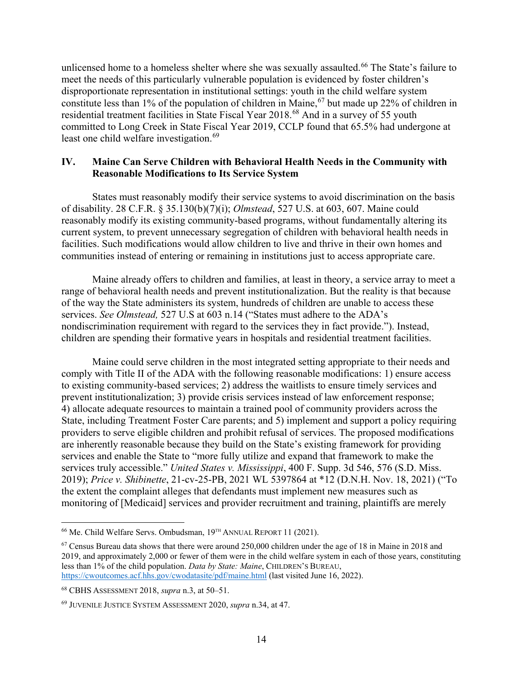unlicensed home to a homeless shelter where she was sexually assaulted. [66](#page-13-0) The State's failure to meet the needs of this particularly vulnerable population is evidenced by foster children's disproportionate representation in institutional settings: youth in the child welfare system constitute less than  $1\%$  of the population of children in Maine,  $67$  but made up 22% of children in residential treatment facilities in State Fiscal Year 2018.[68](#page-13-2) And in a survey of 55 youth committed to Long Creek in State Fiscal Year 2019, CCLP found that 65.5% had undergone at least one child welfare investigation. [69](#page-13-3) 

### **IV. Maine Can Serve Children with Behavioral Health Needs in the Community with Reasonable Modifications to Its Service System**

States must reasonably modify their service systems to avoid discrimination on the basis of disability. 28 C.F.R. § 35.130(b)(7)(i); *Olmstead*, 527 U.S. at 603, 607. Maine could reasonably modify its existing community-based programs, without fundamentally altering its current system, to prevent unnecessary segregation of children with behavioral health needs in facilities. Such modifications would allow children to live and thrive in their own homes and communities instead of entering or remaining in institutions just to access appropriate care.

Maine already offers to children and families, at least in theory, a service array to meet a range of behavioral health needs and prevent institutionalization. But the reality is that because of the way the State administers its system, hundreds of children are unable to access these services. *See Olmstead,* 527 U.S at 603 n.14 ("States must adhere to the ADA's nondiscrimination requirement with regard to the services they in fact provide."). Instead, children are spending their formative years in hospitals and residential treatment facilities.

Maine could serve children in the most integrated setting appropriate to their needs and comply with Title II of the ADA with the following reasonable modifications: 1) ensure access to existing community-based services; 2) address the waitlists to ensure timely services and prevent institutionalization; 3) provide crisis services instead of law enforcement response; 4) allocate adequate resources to maintain a trained pool of community providers across the State, including Treatment Foster Care parents; and 5) implement and support a policy requiring providers to serve eligible children and prohibit refusal of services. The proposed modifications are inherently reasonable because they build on the State's existing framework for providing services and enable the State to "more fully utilize and expand that framework to make the services truly accessible." *United States v. Mississippi*, 400 F. Supp. 3d 546, 576 (S.D. Miss. 2019); *Price v. Shibinette*, 21-cv-25-PB, 2021 WL 5397864 at \*12 (D.N.H. Nov. 18, 2021) ("To the extent the complaint alleges that defendants must implement new measures such as monitoring of [Medicaid] services and provider recruitment and training, plaintiffs are merely

<span id="page-13-0"></span> $\overline{a}$ <sup>66</sup> Me. Child Welfare Servs. Ombudsman, 19<sup>TH</sup> ANNUAL REPORT 11 (2021).

<span id="page-13-1"></span><sup>&</sup>lt;sup>67</sup> Census Bureau data shows that there were around 250,000 children under the age of 18 in Maine in 2018 and 2019, and approximately 2,000 or fewer of them were in the child welfare system in each of those years, constituting less than 1% of the child population. *Data by State: Maine*, CHILDREN'S BUREAU, <https://cwoutcomes.acf.hhs.gov/cwodatasite/pdf/maine.html> (last visited June 16, 2022).

<span id="page-13-2"></span><sup>68</sup> CBHS ASSESSMENT 2018, *supra* n.3, at 50–51.

<span id="page-13-3"></span><sup>69</sup> JUVENILE JUSTICE SYSTEM ASSESSMENT 2020, *supra* n.34, at 47.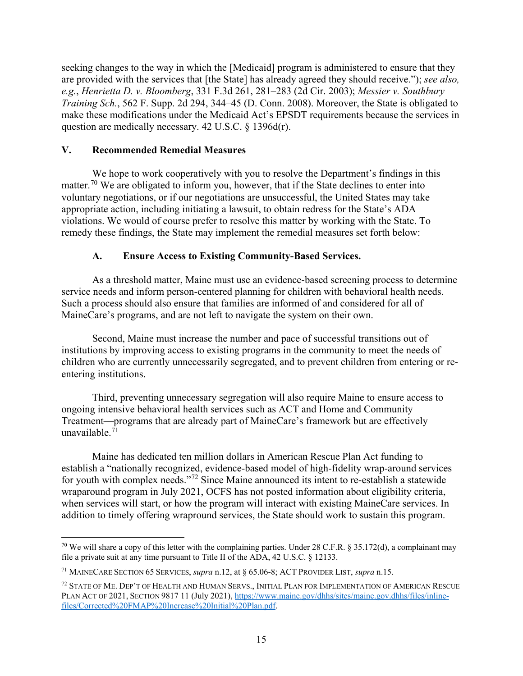seeking changes to the way in which the [Medicaid] program is administered to ensure that they are provided with the services that [the State] has already agreed they should receive."); *see also, e.g.*, *Henrietta D. v. Bloomberg*, 331 F.3d 261, 281–283 (2d Cir. 2003); *Messier v. Southbury Training Sch.*, 562 F. Supp. 2d 294, 344–45 (D. Conn. 2008). Moreover, the State is obligated to make these modifications under the Medicaid Act's EPSDT requirements because the services in question are medically necessary. 42 U.S.C. § 1396d(r).

### **V. Recommended Remedial Measures**

We hope to work cooperatively with you to resolve the Department's findings in this matter.<sup>[70](#page-14-0)</sup> We are obligated to inform you, however, that if the State declines to enter into voluntary negotiations, or if our negotiations are unsuccessful, the United States may take appropriate action, including initiating a lawsuit, to obtain redress for the State's ADA violations. We would of course prefer to resolve this matter by working with the State. To remedy these findings, the State may implement the remedial measures set forth below:

# **A. Ensure Access to Existing Community-Based Services.**

As a threshold matter, Maine must use an evidence-based screening process to determine service needs and inform person-centered planning for children with behavioral health needs. Such a process should also ensure that families are informed of and considered for all of MaineCare's programs, and are not left to navigate the system on their own.

Second, Maine must increase the number and pace of successful transitions out of institutions by improving access to existing programs in the community to meet the needs of children who are currently unnecessarily segregated, and to prevent children from entering or reentering institutions.

Third, preventing unnecessary segregation will also require Maine to ensure access to ongoing intensive behavioral health services such as ACT and Home and Community Treatment—programs that are already part of MaineCare's framework but are effectively unavailable. $^{71}$ 

Maine has dedicated ten million dollars in American Rescue Plan Act funding to establish a "nationally recognized, evidence-based model of high-fidelity wrap-around services for youth with complex needs."[72](#page-14-2) Since Maine announced its intent to re-establish a statewide wraparound program in July 2021, OCFS has not posted information about eligibility criteria, when services will start, or how the program will interact with existing MaineCare services. In addition to timely offering wrapround services, the State should work to sustain this program.

<span id="page-14-0"></span> $\overline{a}$ <sup>70</sup> We will share a copy of this letter with the complaining parties. Under 28 C.F.R. § 35.172(d), a complainant may file a private suit at any time pursuant to Title II of the ADA, 42 U.S.C. § 12133.

<span id="page-14-1"></span><sup>71</sup> MAINECARE SECTION 65 SERVICES, *supra* n.12, at § 65.06-8; ACT PROVIDER LIST, *supra* n.15.

<span id="page-14-2"></span><sup>72</sup> STATE OF ME. DEP'T OF HEALTH AND HUMAN SERVS., INITIAL PLAN FOR IMPLEMENTATION OF AMERICAN RESCUE PLAN ACT OF 2021, SECTION 9817 11 (July 2021), [https://www.maine.gov/dhhs/sites/maine.gov.dhhs/files/inline](https://www.maine.gov/dhhs/sites/maine.gov.dhhs/files/inline-files/Corrected%20FMAP%20Increase%20Initial%20Plan.pdf)[files/Corrected%20FMAP%20Increase%20Initial%20Plan.pdf.](https://www.maine.gov/dhhs/sites/maine.gov.dhhs/files/inline-files/Corrected%20FMAP%20Increase%20Initial%20Plan.pdf)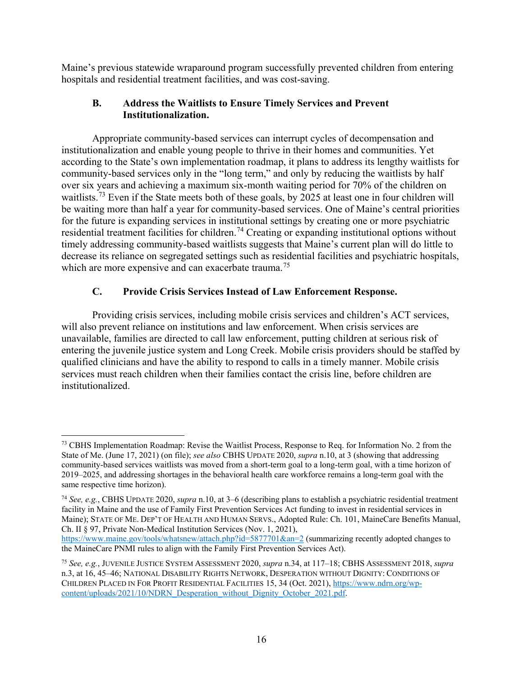Maine's previous statewide wraparound program successfully prevented children from entering hospitals and residential treatment facilities, and was cost-saving.

# **B. Address the Waitlists to Ensure Timely Services and Prevent Institutionalization.**

Appropriate community-based services can interrupt cycles of decompensation and institutionalization and enable young people to thrive in their homes and communities. Yet according to the State's own implementation roadmap, it plans to address its lengthy waitlists for community-based services only in the "long term," and only by reducing the waitlists by half over six years and achieving a maximum six-month waiting period for 70% of the children on waitlists.<sup>73</sup> Even if the State meets both of these goals, by 2025 at least one in four children will be waiting more than half a year for community-based services. One of Maine's central priorities for the future is expanding services in institutional settings by creating one or more psychiatric residential treatment facilities for children.<sup>[74](#page-15-1)</sup> Creating or expanding institutional options without timely addressing community-based waitlists suggests that Maine's current plan will do little to decrease its reliance on segregated settings such as residential facilities and psychiatric hospitals, which are more expensive and can exacerbate trauma.<sup>[75](#page-15-2)</sup>

# **C. Provide Crisis Services Instead of Law Enforcement Response.**

Providing crisis services, including mobile crisis services and children's ACT services, will also prevent reliance on institutions and law enforcement. When crisis services are unavailable, families are directed to call law enforcement, putting children at serious risk of entering the juvenile justice system and Long Creek. Mobile crisis providers should be staffed by qualified clinicians and have the ability to respond to calls in a timely manner. Mobile crisis services must reach children when their families contact the crisis line, before children are institutionalized.

<span id="page-15-0"></span> $\overline{a}$ <sup>73</sup> CBHS Implementation Roadmap: Revise the Waitlist Process, Response to Req. for Information No. 2 from the State of Me. (June 17, 2021) (on file); *see also* CBHS UPDATE 2020, *supra* n.10, at 3 (showing that addressing community-based services waitlists was moved from a short-term goal to a long-term goal, with a time horizon of 2019–2025, and addressing shortages in the behavioral health care workforce remains a long-term goal with the same respective time horizon).

<span id="page-15-1"></span><sup>74</sup> *See, e.g.*, CBHS UPDATE 2020, *supra* n.10, at 3–6 (describing plans to establish a psychiatric residential treatment facility in Maine and the use of Family First Prevention Services Act funding to invest in residential services in Maine); STATE OF ME. DEP'T OF HEALTH AND HUMAN SERVS., Adopted Rule: Ch. 101, MaineCare Benefits Manual, Ch. II § 97, Private Non-Medical Institution Services (Nov. 1, 2021),

<https://www.maine.gov/tools/whatsnew/attach.php?id=5877701&an=2> (summarizing recently adopted changes to the MaineCare PNMI rules to align with the Family First Prevention Services Act).

<span id="page-15-2"></span><sup>75</sup> *See, e.g.*, JUVENILE JUSTICE SYSTEM ASSESSMENT 2020, *supra* n.34, at 117–18; CBHS ASSESSMENT 2018, *supra* n.3, at 16, 45–46; NATIONAL DISABILITY RIGHTS NETWORK, DESPERATION WITHOUT DIGNITY: CONDITIONS OF CHILDREN PLACED IN FOR PROFIT RESIDENTIAL FACILITIES 15, 34 (Oct. 2021), [https://www.ndrn.org/wp](https://www.ndrn.org/wp-content/uploads/2021/10/NDRN_Desperation_without_Dignity_October_2021.pdf)[content/uploads/2021/10/NDRN\\_Desperation\\_without\\_Dignity\\_October\\_2021.pdf.](https://www.ndrn.org/wp-content/uploads/2021/10/NDRN_Desperation_without_Dignity_October_2021.pdf)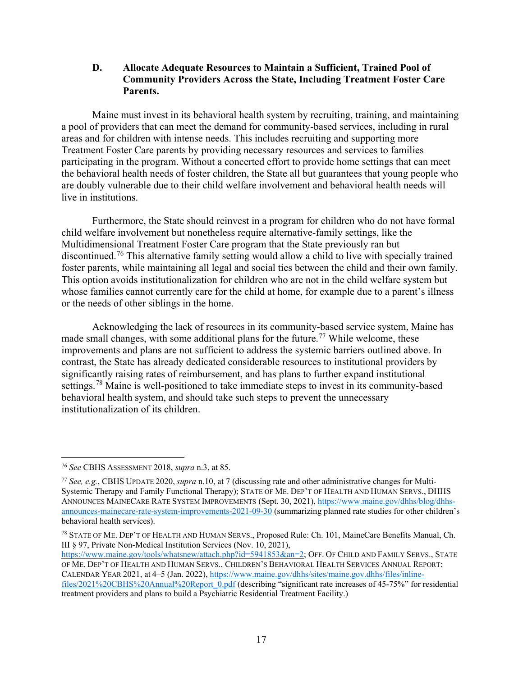**D. Allocate Adequate Resources to Maintain a Sufficient, Trained Pool of Community Providers Across the State, Including Treatment Foster Care Parents.** 

Maine must invest in its behavioral health system by recruiting, training, and maintaining a pool of providers that can meet the demand for community-based services, including in rural areas and for children with intense needs. This includes recruiting and supporting more Treatment Foster Care parents by providing necessary resources and services to families participating in the program. Without a concerted effort to provide home settings that can meet the behavioral health needs of foster children, the State all but guarantees that young people who are doubly vulnerable due to their child welfare involvement and behavioral health needs will live in institutions.

Furthermore, the State should reinvest in a program for children who do not have formal child welfare involvement but nonetheless require alternative-family settings, like the Multidimensional Treatment Foster Care program that the State previously ran but discontinued.[76](#page-16-0) This alternative family setting would allow a child to live with specially trained foster parents, while maintaining all legal and social ties between the child and their own family. This option avoids institutionalization for children who are not in the child welfare system but whose families cannot currently care for the child at home, for example due to a parent's illness or the needs of other siblings in the home.

Acknowledging the lack of resources in its community-based service system, Maine has made small changes, with some additional plans for the future.<sup>[77](#page-16-1)</sup> While welcome, these improvements and plans are not sufficient to address the systemic barriers outlined above. In contrast, the State has already dedicated considerable resources to institutional providers by significantly raising rates of reimbursement, and has plans to further expand institutional settings.<sup>[78](#page-16-2)</sup> Maine is well-positioned to take immediate steps to invest in its community-based behavioral health system, and should take such steps to prevent the unnecessary institutionalization of its children.

[https://www.maine.gov/tools/whatsnew/attach.php?id=5941853&an=2;](https://www.maine.gov/tools/whatsnew/attach.php?id=5941853&an=2) OFF. OF CHILD AND FAMILY SERVS., STATE OF ME. DEP'T OF HEALTH AND HUMAN SERVS., CHILDREN'S BEHAVIORAL HEALTH SERVICES ANNUAL REPORT: CALENDAR YEAR 2021, at 4–5 (Jan. 2022), [https://www.maine.gov/dhhs/sites/maine.gov.dhhs/files/inline](https://www.maine.gov/dhhs/sites/maine.gov.dhhs/files/inline-files/2021%20CBHS%20Annual%20Report_0.pdf)[files/2021%20CBHS%20Annual%20Report\\_0.pdf](https://www.maine.gov/dhhs/sites/maine.gov.dhhs/files/inline-files/2021%20CBHS%20Annual%20Report_0.pdf) (describing "significant rate increases of 45-75%" for residential treatment providers and plans to build a Psychiatric Residential Treatment Facility.)

<span id="page-16-0"></span> $\overline{a}$ <sup>76</sup> *See* CBHS ASSESSMENT 2018, *supra* n.3, at 85.

<span id="page-16-1"></span><sup>77</sup> *See, e.g.*, CBHS UPDATE 2020, *supra* n.10, at 7 (discussing rate and other administrative changes for Multi-Systemic Therapy and Family Functional Therapy); STATE OF ME. DEP'T OF HEALTH AND HUMAN SERVS., DHHS ANNOUNCES MAINECARE RATE SYSTEM IMPROVEMENTS (Sept. 30, 2021), [https://www.maine.gov/dhhs/blog/dhhs](https://www.maine.gov/dhhs/blog/dhhs-announces-mainecare-rate-system-improvements-2021-09-30)[announces-mainecare-rate-system-improvements-2021-09-30](https://www.maine.gov/dhhs/blog/dhhs-announces-mainecare-rate-system-improvements-2021-09-30) (summarizing planned rate studies for other children's behavioral health services).

<span id="page-16-2"></span><sup>78</sup> STATE OF ME. DEP'T OF HEALTH AND HUMAN SERVS., Proposed Rule: Ch. 101, MaineCare Benefits Manual, Ch. III § 97, Private Non-Medical Institution Services (Nov. 10, 2021),